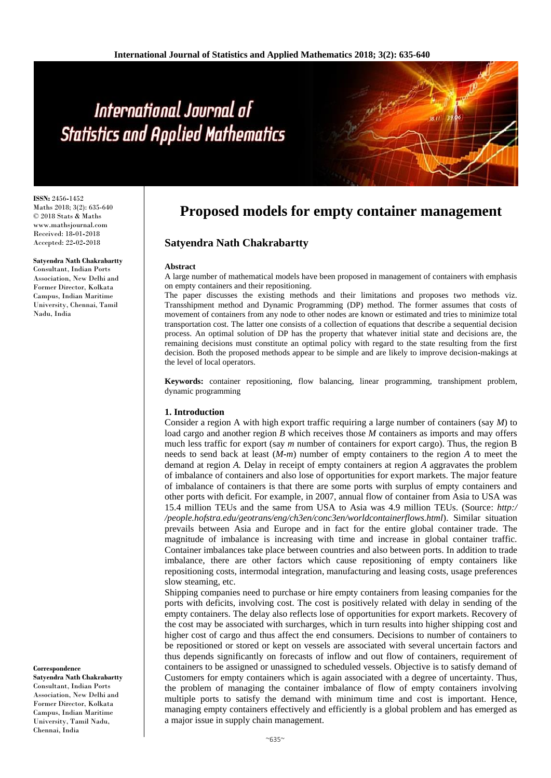**ISSN:** 2456**-**1452 Maths 2018; 3(2): 635-640 © 2018 Stats & Maths www.mathsjournal.com Received: 18**-**01**-**2018 Accepted: 22**-**02**-**2018

#### **Satyendra Nath Chakrabartty**

Consultant, Indian Ports Association, New Delhi and Former Director, Kolkata Campus, Indian Maritime University, Chennai, Tamil Nadu, India

**Correspondence Satyendra Nath Chakrabartty** Consultant, Indian Ports Association, New Delhi and Former Director, Kolkata Campus, Indian Maritime University, Tamil Nadu, Chennai, India

## **Proposed models for empty container management**

## **Satyendra Nath Chakrabartty**

#### **Abstract**

A large number of mathematical models have been proposed in management of containers with emphasis on empty containers and their repositioning.

The paper discusses the existing methods and their limitations and proposes two methods viz. Transshipment method and Dynamic Programming (DP) method. The former assumes that costs of movement of containers from any node to other nodes are known or estimated and tries to minimize total transportation cost. The latter one consists of a collection of equations that describe a sequential decision process. An optimal solution of DP has the property that whatever initial state and decisions are, the remaining decisions must constitute an optimal policy with regard to the state resulting from the first decision. Both the proposed methods appear to be simple and are likely to improve decision**-**makings at the level of local operators.

**Keywords:** container repositioning, flow balancing, linear programming, transhipment problem, dynamic programming

#### **1. Introduction**

Consider a region A with high export traffic requiring a large number of containers (say *M*) to load cargo and another region *B* which receives those *M* containers as imports and may offers much less traffic for export (say *m* number of containers for export cargo). Thus, the region B needs to send back at least (*M-m*) number of empty containers to the region *A* to meet the demand at region *A.* Delay in receipt of empty containers at region *A* aggravates the problem of imbalance of containers and also lose of opportunities for export markets. The major feature of imbalance of containers is that there are some ports with surplus of empty containers and other ports with deficit. For example, in 2007, annual flow of container from Asia to USA was 15.4 million TEUs and the same from USA to Asia was 4.9 million TEUs. (Source: *http:/ /people.hofstra.edu/geotrans/eng/ch3en/conc3en/worldcontainerflows.html*). Similar situation prevails between Asia and Europe and in fact for the entire global container trade. The magnitude of imbalance is increasing with time and increase in global container traffic. Container imbalances take place between countries and also between ports. In addition to trade imbalance, there are other factors which cause repositioning of empty containers like repositioning costs, intermodal integration, manufacturing and leasing costs, usage preferences slow steaming, etc.

Shipping companies need to purchase or hire empty containers from leasing companies for the ports with deficits, involving cost. The cost is positively related with delay in sending of the empty containers. The delay also reflects lose of opportunities for export markets. Recovery of the cost may be associated with surcharges, which in turn results into higher shipping cost and higher cost of cargo and thus affect the end consumers. Decisions to number of containers to be repositioned or stored or kept on vessels are associated with several uncertain factors and thus depends significantly on forecasts of inflow and out flow of containers, requirement of containers to be assigned or unassigned to scheduled vessels. Objective is to satisfy demand of Customers for empty containers which is again associated with a degree of uncertainty. Thus, the problem of managing the container imbalance of flow of empty containers involving multiple ports to satisfy the demand with minimum time and cost is important. Hence, managing empty containers effectively and efficiently is a global problem and has emerged as a major issue in supply chain management.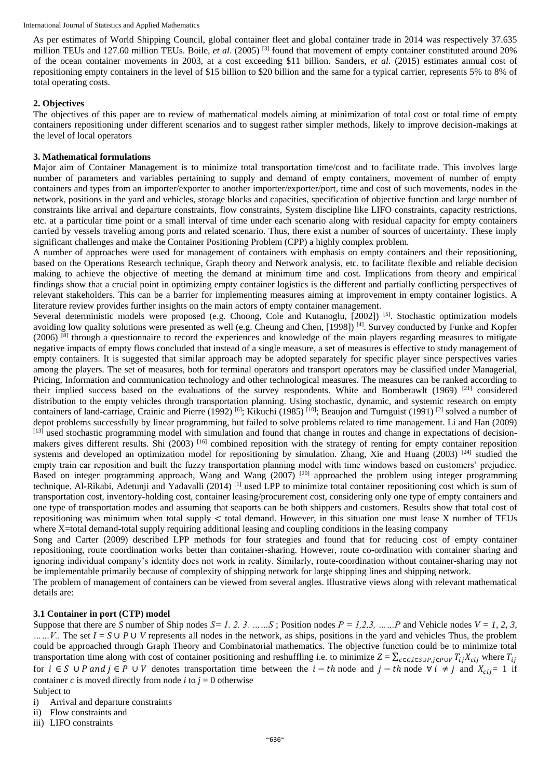As per estimates of World Shipping Council, global container fleet and global container trade in 2014 was respectively 37.635 million TEUs and 127.60 million TEUs. Boile, *et al*. (2005) [3] found that movement of empty container constituted around 20% of the ocean container movements in 2003, at a cost exceeding \$11 billion. Sanders, *et al*. (2015) estimates annual cost of repositioning empty containers in the level of \$15 billion to \$20 billion and the same for a typical carrier, represents 5% to 8% of total operating costs.

## **2. Objectives**

The objectives of this paper are to review of mathematical models aiming at minimization of total cost or total time of empty containers repositioning under different scenarios and to suggest rather simpler methods, likely to improve decision**-**makings at the level of local operators

## **3. Mathematical formulations**

Major aim of Container Management is to minimize total transportation time/cost and to facilitate trade. This involves large number of parameters and variables pertaining to supply and demand of empty containers, movement of number of empty containers and types from an importer/exporter to another importer/exporter/port, time and cost of such movements, nodes in the network, positions in the yard and vehicles, storage blocks and capacities, specification of objective function and large number of constraints like arrival and departure constraints, flow constraints, System discipline like LIFO constraints, capacity restrictions, etc. at a particular time point or a small interval of time under each scenario along with residual capacity for empty containers carried by vessels traveling among ports and related scenario. Thus, there exist a number of sources of uncertainty. These imply significant challenges and make the Container Positioning Problem (CPP) a highly complex problem.

A number of approaches were used for management of containers with emphasis on empty containers and their repositioning, based on the Operations Research technique, Graph theory and Network analysis, etc. to facilitate flexible and reliable decision making to achieve the objective of meeting the demand at minimum time and cost. Implications from theory and empirical findings show that a crucial point in optimizing empty container logistics is the different and partially conflicting perspectives of relevant stakeholders. This can be a barrier for implementing measures aiming at improvement in empty container logistics. A literature review provides further insights on the main actors of empty container management.

Several deterministic models were proposed (e.g. Choong, Cole and Kutanoglu, [2002])<sup>[5]</sup>. Stochastic optimization models avoiding low quality solutions were presented as well (e.g. Cheung and Chen, [1998]) <sup>[4]</sup>. Survey conducted by Funke and Kopfer  $(2006)$  [8] through a questionnaire to record the experiences and knowledge of the main players regarding measures to mitigate negative impacts of empty flows concluded that instead of a single measure, a set of measures is effective to study management of empty containers. It is suggested that similar approach may be adopted separately for specific player since perspectives varies among the players. The set of measures, both for terminal operators and transport operators may be classified under Managerial, Pricing, Information and communication technology and other technological measures. The measures can be ranked according to their implied success based on the evaluations of the survey respondents. White and Bomberawlt (1969) <sup>[21]</sup> considered distribution to the empty vehicles through transportation planning. Using stochastic, dynamic, and systemic research on empty containers of land-carriage, Crainic and Pierre (1992) <sup>[6]</sup>; Kikuchi (1985) <sup>[10]</sup>; Beaujon and Turnguist (1991) <sup>[2]</sup> solved a number of depot problems successfully by linear programming, but failed to solve problems related to time management. Li and Han (2009) [13] used stochastic programming model with simulation and found that change in routes and change in expectations of decisionmakers gives different results. Shi (2003) <sup>[16]</sup> combined reposition with the strategy of renting for empty container reposition systems and developed an optimization model for repositioning by simulation. Zhang, Xie and Huang (2003)  $^{[24]}$  studied the empty train car reposition and built the fuzzy transportation planning model with time windows based on customers' prejudice. Based on integer programming approach, Wang and Wang (2007) <sup>[20]</sup> approached the problem using integer programming technique. Al-Rikabi, Adetunji and Yadavalli (2014) <sup>[1]</sup> used LPP to minimize total container repositioning cost which is sum of transportation cost, inventory**-**holding cost, container leasing/procurement cost, considering only one type of empty containers and one type of transportation modes and assuming that seaports can be both shippers and customers. Results show that total cost of repositioning was minimum when total supply < total demand. However, in this situation one must lease X number of TEUs where X=total demand-total supply requiring additional leasing and coupling conditions in the leasing company

Song and Carter (2009) described LPP methods for four strategies and found that for reducing cost of empty container repositioning, route coordination works better than container**-**sharing. However, route co**-**ordination with container sharing and ignoring individual company's identity does not work in reality. Similarly, route**-**coordination without container**-**sharing may not be implementable primarily because of complexity of shipping network for large shipping lines and shipping network.

The problem of management of containers can be viewed from several angles. Illustrative views along with relevant mathematical details are:

## **3.1 Container in port (CTP) model**

Suppose that there are *S* number of Ship nodes  $S = 1, 2, 3, \ldots, S$ ; Position nodes  $P = 1, 2, 3, \ldots, P$  and Vehicle nodes  $V = 1, 2, 3, \ldots, S$ *……V.*. The set *I* = *S* ∪ *P* ∪ *V* represents all nodes in the network, as ships, positions in the yard and vehicles Thus, the problem could be approached through Graph Theory and Combinatorial mathematics. The objective function could be to minimize total transportation time along with cost of container positioning and reshuffling i.e. to minimize  $Z = \sum_{c \in C, i \in S \cup P, i \in P \cup V} T_{ii} X_{cii}$  where  $T_{ii}$ for  $i \in S \cup P$  and  $j \in P \cup V$  denotes transportation time between the  $i - th$  node and  $j - th$  node  $\forall i \neq j$  and  $X_{ci} = 1$  if container *c* is moved directly from node *i* to  $j = 0$  otherwise Subject to

- i) Arrival and departure constraints
- ii) Flow constraints and
- iii) LIFO constraints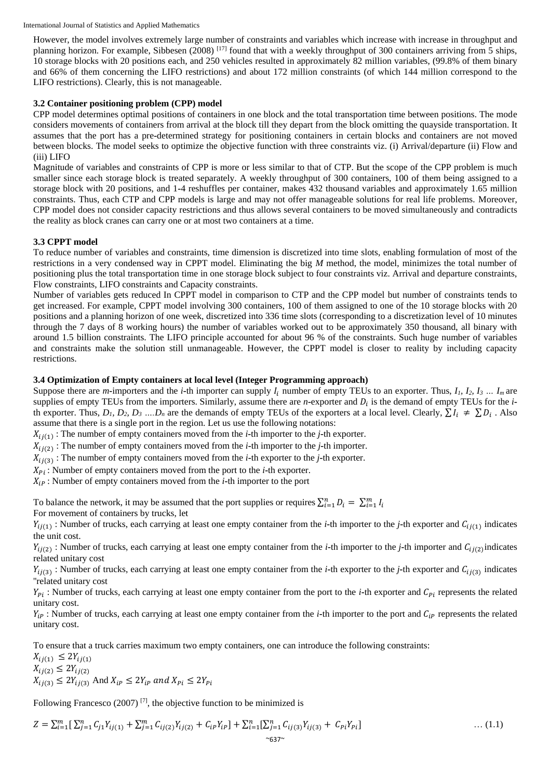However, the model involves extremely large number of constraints and variables which increase with increase in throughput and planning horizon. For example, Sibbesen (2008)  $^{[17]}$  found that with a weekly throughput of 300 containers arriving from 5 ships, 10 storage blocks with 20 positions each, and 250 vehicles resulted in approximately 82 million variables, (99.8% of them binary and 66% of them concerning the LIFO restrictions) and about 172 million constraints (of which 144 million correspond to the LIFO restrictions). Clearly, this is not manageable.

## **3.2 Container positioning problem (CPP) model**

CPP model determines optimal positions of containers in one block and the total transportation time between positions. The mode considers movements of containers from arrival at the block till they depart from the block omitting the quayside transportation. It assumes that the port has a pre**-**determined strategy for positioning containers in certain blocks and containers are not moved between blocks. The model seeks to optimize the objective function with three constraints viz. (i) Arrival/departure (ii) Flow and (iii) LIFO

Magnitude of variables and constraints of CPP is more or less similar to that of CTP. But the scope of the CPP problem is much smaller since each storage block is treated separately. A weekly throughput of 300 containers, 100 of them being assigned to a storage block with 20 positions, and 1**-**4 reshuffles per container, makes 432 thousand variables and approximately 1.65 million constraints. Thus, each CTP and CPP models is large and may not offer manageable solutions for real life problems. Moreover, CPP model does not consider capacity restrictions and thus allows several containers to be moved simultaneously and contradicts the reality as block cranes can carry one or at most two containers at a time.

## **3.3 CPPT model**

To reduce number of variables and constraints, time dimension is discretized into time slots, enabling formulation of most of the restrictions in a very condensed way in CPPT model. Eliminating the big *M* method, the model, minimizes the total number of positioning plus the total transportation time in one storage block subject to four constraints viz. Arrival and departure constraints, Flow constraints, LIFO constraints and Capacity constraints.

Number of variables gets reduced In CPPT model in comparison to CTP and the CPP model but number of constraints tends to get increased. For example, CPPT model involving 300 containers, 100 of them assigned to one of the 10 storage blocks with 20 positions and a planning horizon of one week, discretized into 336 time slots (corresponding to a discretization level of 10 minutes through the 7 days of 8 working hours) the number of variables worked out to be approximately 350 thousand, all binary with around 1.5 billion constraints. The LIFO principle accounted for about 96 % of the constraints. Such huge number of variables and constraints make the solution still unmanageable. However, the CPPT model is closer to reality by including capacity restrictions.

## **3.4 Optimization of Empty containers at local level (Integer Programming approach)**

Suppose there are *m*-importers and the *i*-th importer can supply  $I_i$  number of empty TEUs to an exporter. Thus,  $I_i$ ,  $I_2$ ,  $I_3$   $\dots$   $I_m$  are supplies of empty TEUs from the importers. Similarly, assume there are *n*-exporter and  $D_i$  is the demand of empty TEUs for the *i*th exporter. Thus,  $D_1$ ,  $D_2$ ,  $D_3$  .... $D_n$  are the demands of empty TEUs of the exporters at a local level. Clearly,  $\sum I_i \neq \sum D_i$ . Also assume that there is a single port in the region. Let us use the following notations:

 $X_{i,j(1)}$ : The number of empty containers moved from the *i***-**th importer to the *j***-**th exporter.

 $X_{ij(2)}$ : The number of empty containers moved from the *i***-**th importer to the *j***-**th importer.

 $X_{ij(3)}$ : The number of empty containers moved from the *i*-th exporter to the *j*-th exporter.

 $X_{Pi}$ : Number of empty containers moved from the port to the *i*-th exporter.

: Number of empty containers moved from the *i***-**th importer to the port

To balance the network, it may be assumed that the port supplies or requires  $\sum_{i=1}^{n} D_i = \sum_{i=1}^{m} I_i$ For movement of containers by trucks, let

 $Y_{ij(1)}$ : Number of trucks, each carrying at least one empty container from the *i*-th importer to the *j*-th exporter and  $C_{ij(1)}$  indicates the unit cost.

 $Y_{ij(2)}$ : Number of trucks, each carrying at least one empty container from the *i*-th importer to the *j*-th importer and  $C_{ij(2)}$  indicates related unitary cost

 $Y_{ij(3)}$ : Number of trucks, each carrying at least one empty container from the *i*-th exporter to the *j*-th exporter and  $C_{ij(3)}$  indicates ''related unitary cost

 $Y_{pi}$ : Number of trucks, each carrying at least one empty container from the port to the *i*-th exporter and  $C_{pi}$  represents the related unitary cost.

 $Y_{ip}$ : Number of trucks, each carrying at least one empty container from the *i*-th importer to the port and  $C_{ip}$  represents the related unitary cost.

To ensure that a truck carries maximum two empty containers, one can introduce the following constraints:

 $X_{ii(1)} \leq 2Y_{ii(1)}$  $X_{ij(2)} \leq 2Y_{ij(2)}$  $X_{i}(3) \leq 2Y_{i}(3)$  And  $X_{iP} \leq 2Y_{iP}$  and  $X_{Pi} \leq 2Y_{Pi}$ 

Following Francesco (2007)<sup>[7]</sup>, the objective function to be minimized is

$$
Z = \sum_{i=1}^{m} \left[ \sum_{j=1}^{n} C_{j1} Y_{ij(1)} + \sum_{j=1}^{m} C_{ij(2)} Y_{ij(2)} + C_{ip} Y_{ip} \right] + \sum_{i=1}^{n} \left[ \sum_{j=1}^{n} C_{ij(3)} Y_{ij(3)} + C_{pi} Y_{pi} \right] \tag{1.1}
$$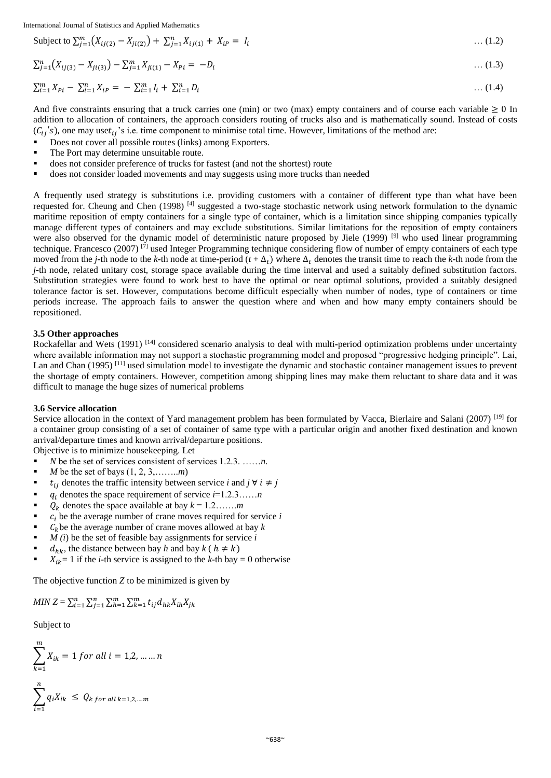Subject to 
$$
\sum_{j=1}^{m} (X_{ij(2)} - X_{ji(2)}) + \sum_{j=1}^{n} X_{ij(1)} + X_{ip} = I_i
$$
 ... (1.2)

$$
\sum_{j=1}^{n} \left( X_{ij(3)} - X_{ji(3)} \right) - \sum_{j=1}^{m} X_{ji(1)} - X_{Pi} = -D_i \tag{1.3}
$$

$$
\sum_{i=1}^{m} X_{Pi} - \sum_{i=1}^{n} X_{iP} = -\sum_{i=1}^{m} I_i + \sum_{i=1}^{n} D_i \tag{1.4}
$$

And five constraints ensuring that a truck carries one (min) or two (max) empty containers and of course each variable  $\geq 0$  In addition to allocation of containers, the approach considers routing of trucks also and is mathematically sound. Instead of costs  $({C_{ij}}'s)$ , one may uset<sub>ij</sub>'s i.e. time component to minimise total time. However, limitations of the method are:

- Does not cover all possible routes (links) among Exporters.
- The Port may determine unsuitable route.
- does not consider preference of trucks for fastest (and not the shortest) route
- does not consider loaded movements and may suggests using more trucks than needed

A frequently used strategy is substitutions i.e. providing customers with a container of different type than what have been requested for. Cheung and Chen (1998) [4] suggested a two**-**stage stochastic network using network formulation to the dynamic maritime reposition of empty containers for a single type of container, which is a limitation since shipping companies typically manage different types of containers and may exclude substitutions. Similar limitations for the reposition of empty containers were also observed for the dynamic model of deterministic nature proposed by Jiele (1999) <sup>[9]</sup> who used linear programming technique. Francesco (2007)  $\left[\frac{r}{1}\right]$  used Integer Programming technique considering flow of number of empty containers of each type moved from the *j***-**th node to the *k***-**th node at time-period ( $t + \Delta_t$ ) where  $\Delta_t$  denotes the transit time to reach the *k***-**th node from the *j***-**th node, related unitary cost, storage space available during the time interval and used a suitably defined substitution factors. Substitution strategies were found to work best to have the optimal or near optimal solutions, provided a suitably designed tolerance factor is set. However, computations become difficult especially when number of nodes, type of containers or time periods increase. The approach fails to answer the question where and when and how many empty containers should be repositioned.

#### **3.5 Other approaches**

Rockafellar and Wets (1991)<sup>[14]</sup> considered scenario analysis to deal with multi-period optimization problems under uncertainty where available information may not support a stochastic programming model and proposed "progressive hedging principle". Lai, Lan and Chan (1995)<sup>[11]</sup> used simulation model to investigate the dynamic and stochastic container management issues to prevent the shortage of empty containers. However, competition among shipping lines may make them reluctant to share data and it was difficult to manage the huge sizes of numerical problems

#### **3.6 Service allocation**

Service allocation in the context of Yard management problem has been formulated by Vacca, Bierlaire and Salani (2007) [19] for a container group consisting of a set of container of same type with a particular origin and another fixed destination and known arrival/departure times and known arrival/departure positions.

Objective is to minimize housekeeping. Let

- *N* be the set of services consistent of services 1.2.3. ……*n.*
- *M* be the set of bays (1, 2, 3,……..*m*)
- $t_{ij}$  denotes the traffic intensity between service *i* and *j*  $\forall i \neq j$
- $q_i$  denotes the space requirement of service  $i=1,2,3,\ldots,n$
- $Q_k$  denotes the space available at bay  $k = 1, 2, \ldots, m$
- $c_i$  be the average number of crane moves required for service  $i$
- $C_k$  be the average number of crane moves allowed at bay  $k$
- *M (i*) be the set of feasible bay assignments for service *i*
- $d_{hk}$ , the distance between bay *h* and bay  $k$  (  $h \neq k$ )
- $X_{ik} = 1$  if the *i*-th service is assigned to the *k*-th bay = 0 otherwise

The objective function *Z* to be minimized is given by

$$
MIN Z = \sum_{i=1}^{n} \sum_{j=1}^{n} \sum_{h=1}^{m} \sum_{k=1}^{m} t_{ij} d_{hk} X_{ih} X_{jk}
$$

Subject to

$$
\sum_{k=1}^{m} X_{ik} = 1 \text{ for all } i = 1, 2, \dots, n
$$
  

$$
\sum_{i=1}^{n} q_i X_{ik} \le Q_{k \text{ for all } k=1, 2, \dots, m}
$$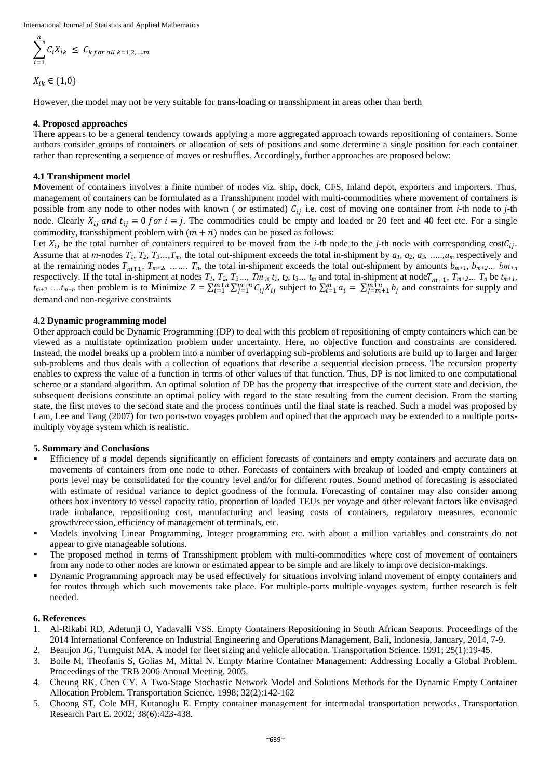$$
\sum_{i=1}^{n} C_i X_{ik} \leq C_{k \text{ for all } k=1,2,\dots,m}
$$

$$
X_{ik} \in \{1,0\}
$$

However, the model may not be very suitable for trans**-**loading or transshipment in areas other than berth

#### **4. Proposed approaches**

There appears to be a general tendency towards applying a more aggregated approach towards repositioning of containers. Some authors consider groups of containers or allocation of sets of positions and some determine a single position for each container rather than representing a sequence of moves or reshuffles. Accordingly, further approaches are proposed below:

## **4.1 Transhipment model**

Movement of containers involves a finite number of nodes viz. ship, dock, CFS, Inland depot, exporters and importers. Thus, management of containers can be formulated as a Transshipment model with multi**-**commodities where movement of containers is possible from any node to other nodes with known ( or estimated)  $C_{ij}$  i.e. cost of moving one container from *i*-th node to *j*-th node. Clearly  $X_{ij}$  and  $t_{ij} = 0$  for  $i = j$ . The commodities could be empty and loaded or 20 feet and 40 feet etc. For a single commodity, transshipment problem with  $(m + n)$  nodes can be posed as follows:

Let  $X_{ij}$  be the total number of containers required to be moved from the *i*-th node to the *j*-th node with corresponding  $cost_{ij}$ . Assume that at m-nodes  $T_1$ ,  $T_2$ ,  $T_3$ , ...,  $T_m$ , the total out-shipment exceeds the total in-shipment by  $a_1$ ,  $a_2$ ,  $a_3$ , ....,  $a_m$  respectively and at the remaining nodes  $T_{m+1}$ ,  $T_{m+2}$ , …….  $T_n$ , the total in-shipment exceeds the total out-shipment by amounts  $b_{m+1}$ ,  $b_{m+2}$ ...  $b_{m+n}$ respectively. If the total in-shipment at nodes  $T_1$ ,  $T_2$ ,  $T_3$ ...,  $T_m$ <sub>is</sub>  $t_1$ ,  $t_2$ ,  $t_3$ ...  $t_m$  and total in-shipment at node $T_{m+1}$ ,  $T_{m+2}$ ...  $T_n$  be  $t_{m+1}$ ,  $t_{m+2}$  *…* $t_{m+n}$  then problem is to Minimize  $Z = \sum_{i=1}^{m+n} \sum_{j=1}^{m+n} C_{ij} X_{ij}$  subject to  $\sum_{i=1}^{m} a_i = \sum_{j=m+1}^{m+n} b_j$  and constraints for supply and demand and non**-**negative constraints

## **4.2 Dynamic programming model**

Other approach could be Dynamic Programming (DP) to deal with this problem of repositioning of empty containers which can be viewed as a multistate optimization problem under uncertainty. Here, no objective function and constraints are considered. Instead, the model breaks up a problem into a number of overlapping sub**-**problems and solutions are build up to larger and larger sub**-**problems and thus deals with a collection of equations that describe a sequential decision process. The recursion property enables to express the value of a function in terms of other values of that function. Thus, DP is not limited to one computational scheme or a standard algorithm. An optimal solution of DP has the property that irrespective of the current state and decision, the subsequent decisions constitute an optimal policy with regard to the state resulting from the current decision. From the starting state, the first moves to the second state and the process continues until the final state is reached. Such a model was proposed by Lam, Lee and Tang (2007) for two ports**-**two voyages problem and opined that the approach may be extended to a multiple portsmultiply voyage system which is realistic.

#### **5. Summary and Conclusions**

- Efficiency of a model depends significantly on efficient forecasts of containers and empty containers and accurate data on movements of containers from one node to other. Forecasts of containers with breakup of loaded and empty containers at ports level may be consolidated for the country level and/or for different routes. Sound method of forecasting is associated with estimate of residual variance to depict goodness of the formula. Forecasting of container may also consider among others box inventory to vessel capacity ratio, proportion of loaded TEUs per voyage and other relevant factors like envisaged trade imbalance, repositioning cost, manufacturing and leasing costs of containers, regulatory measures, economic growth/recession, efficiency of management of terminals, etc.
- Models involving Linear Programming, Integer programming etc. with about a million variables and constraints do not appear to give manageable solutions.
- The proposed method in terms of Transshipment problem with multi**-**commodities where cost of movement of containers from any node to other nodes are known or estimated appear to be simple and are likely to improve decision**-**makings.
- Dynamic Programming approach may be used effectively for situations involving inland movement of empty containers and for routes through which such movements take place. For multiple**-**ports multiple**-**voyages system, further research is felt needed.

#### **6. References**

- 1. Al**-**Rikabi RD, Adetunji O, Yadavalli VSS. Empty Containers Repositioning in South African Seaports. Proceedings of the 2014 International Conference on Industrial Engineering and Operations Management, Bali, Indonesia, January, 2014, 7**-**9.
- 2. Beaujon JG, Turnguist MA. A model for fleet sizing and vehicle allocation. Transportation Science. 1991; 25(1):19**-**45.
- 3. Boile M, Theofanis S, Golias M, Mittal N. Empty Marine Container Management: Addressing Locally a Global Problem. Proceedings of the TRB 2006 Annual Meeting, 2005.
- 4. Cheung RK, Chen CY. A Two**-**Stage Stochastic Network Model and Solutions Methods for the Dynamic Empty Container Allocation Problem. Transportation Science. 1998; 32(2):142**-**162
- 5. Choong ST, Cole MH, Kutanoglu E. Empty container management for intermodal transportation networks. Transportation Research Part E. 2002; 38(6):423**-**438.